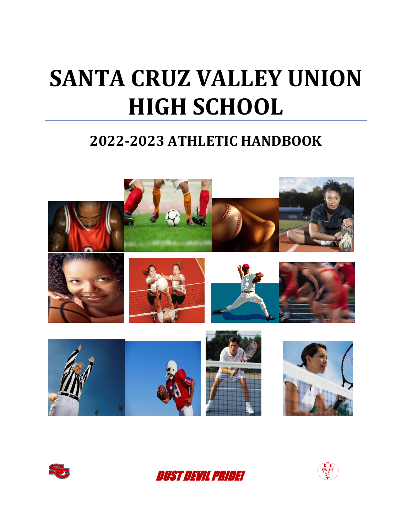# **SANTA CRUZ VALLEY UNION HIGH SCHOOL**

## **2022-2023 ATHLETIC HANDBOOK**







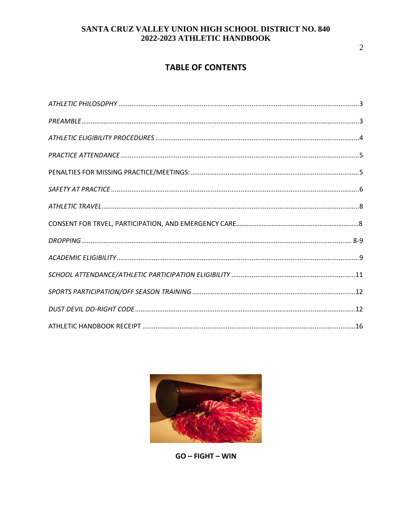### **TABLE OF CONTENTS**



 $GO - FIGHT - WIN$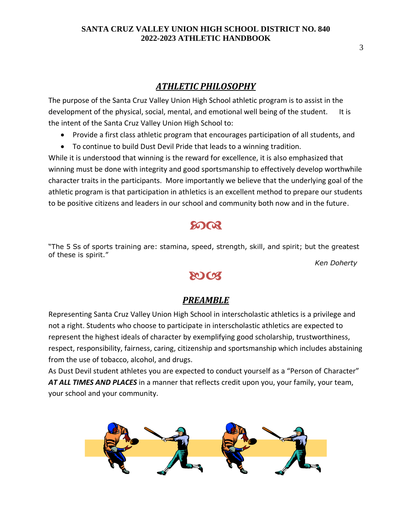#### *ATHLETIC PHILOSOPHY*

<span id="page-2-0"></span>The purpose of the Santa Cruz Valley Union High School athletic program is to assist in the development of the physical, social, mental, and emotional well being of the student. It is the intent of the Santa Cruz Valley Union High School to:

- Provide a first class athletic program that encourages participation of all students, and
- To continue to build Dust Devil Pride that leads to a winning tradition.

While it is understood that winning is the reward for excellence, it is also emphasized that winning must be done with integrity and good sportsmanship to effectively develop worthwhile character traits in the participants. More importantly we believe that the underlying goal of the athletic program is that participation in athletics is an excellent method to prepare our students to be positive citizens and leaders in our school and community both now and in the future.

## အာလ

"The 5 Ss of sports training are: stamina, speed, strength, skill, and spirit; but the greatest of these is spirit."

*Ken Doherty* 

## **SOCT**

#### *PREAMBLE*

<span id="page-2-1"></span>Representing Santa Cruz Valley Union High School in interscholastic athletics is a privilege and not a right. Students who choose to participate in interscholastic athletics are expected to represent the highest ideals of character by exemplifying good scholarship, trustworthiness, respect, responsibility, fairness, caring, citizenship and sportsmanship which includes abstaining from the use of tobacco, alcohol, and drugs.

As Dust Devil student athletes you are expected to conduct yourself as a "Person of Character" *AT ALL TIMES AND PLACES* in a manner that reflects credit upon you, your family, your team, your school and your community.

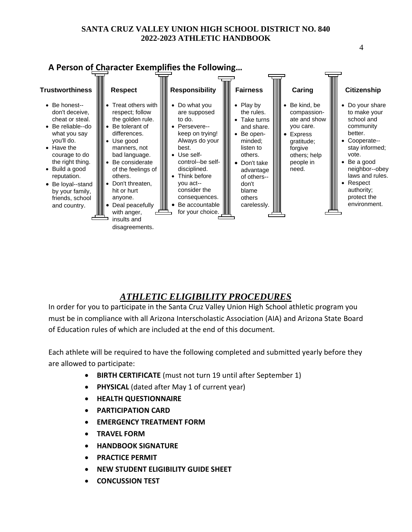#### **A Person of Character Exemplifies the Following…**

| <b>Trustworthiness</b>                                                                                                                                                                                                                                                                    | <b>Respect</b>                                                                                                                                                                                                                                                                                             | <b>Responsibility</b>                                                                                                                                                                                                                                                                     | <b>Fairness</b>                                                                                                                                                                       | Caring                                                                                                                                                | <b>Citizenship</b>                                                                                                                                                                                                      |
|-------------------------------------------------------------------------------------------------------------------------------------------------------------------------------------------------------------------------------------------------------------------------------------------|------------------------------------------------------------------------------------------------------------------------------------------------------------------------------------------------------------------------------------------------------------------------------------------------------------|-------------------------------------------------------------------------------------------------------------------------------------------------------------------------------------------------------------------------------------------------------------------------------------------|---------------------------------------------------------------------------------------------------------------------------------------------------------------------------------------|-------------------------------------------------------------------------------------------------------------------------------------------------------|-------------------------------------------------------------------------------------------------------------------------------------------------------------------------------------------------------------------------|
| Be honest--<br>$\bullet$<br>don't deceive,<br>cheat or steal.<br>Be reliable--do<br>what you say<br>you'll do.<br>Have the<br>$\bullet$<br>courage to do<br>the right thing.<br>Build a good<br>٠<br>reputation.<br>Be loyal--stand<br>by your family,<br>friends, school<br>and country. | Treat others with<br>respect; follow<br>the golden rule.<br>Be tolerant of<br>differences.<br>Use good<br>manners, not<br>bad language.<br>Be considerate<br>of the feelings of<br>others.<br>Don't threaten,<br>hit or hurt<br>anyone.<br>Deal peacefully<br>with anger,<br>insults and<br>disagreements. | IIIIII<br>Do what you<br>$\bullet$<br>are supposed<br>to do.<br>Persevere--<br>keep on trying!<br>Always do your<br>best.<br>Use self-<br>control--be self-<br>┉<br>disciplined.<br>Think before<br>you act--<br>consider the<br>consequences.<br>Be accountable<br>for your choice. IIII | Play by<br>the rules.<br>Take turns<br>and share.<br>Be open-<br>minded;<br>listen to<br>others.<br>Don't take<br>advantage<br>of others--<br>don't<br>blame<br>others<br>carelessly. | Be kind, be<br>compassion-<br>ate and show<br>you care.<br><b>Express</b><br>$\bullet$<br>gratitude;<br>forgive<br>others; help<br>people in<br>need. | Do your share<br>to make your<br>school and<br>community<br>better.<br>Cooperate--<br>stay informed;<br>vote.<br>Be a good<br>neighbor--obey<br>laws and rules.<br>Respect<br>authority;<br>protect the<br>environment. |
|                                                                                                                                                                                                                                                                                           |                                                                                                                                                                                                                                                                                                            |                                                                                                                                                                                                                                                                                           |                                                                                                                                                                                       |                                                                                                                                                       |                                                                                                                                                                                                                         |

## *ATHLETIC ELIGIBILITY PROCEDURES*

<span id="page-3-0"></span>In order for you to participate in the Santa Cruz Valley Union High School athletic program you must be in compliance with all Arizona Interscholastic Association (AIA) and Arizona State Board of Education rules of which are included at the end of this document.

Each athlete will be required to have the following completed and submitted yearly before they are allowed to participate:

- **BIRTH CERTIFICATE** (must not turn 19 until after September 1)
- **PHYSICAL** (dated after May 1 of current year)
- **HEALTH QUESTIONNAIRE**
- **PARTICIPATION CARD**
- **EMERGENCY TREATMENT FORM**
- **TRAVEL FORM**
- **HANDBOOK SIGNATURE**
- **PRACTICE PERMIT**
- **NEW STUDENT ELIGIBILITY GUIDE SHEET**
- <span id="page-3-1"></span>• **CONCUSSION TEST**

4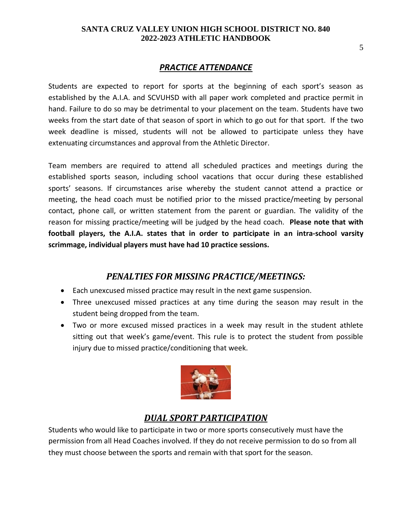#### *PRACTICE ATTENDANCE*

Students are expected to report for sports at the beginning of each sport's season as established by the A.I.A. and SCVUHSD with all paper work completed and practice permit in hand. Failure to do so may be detrimental to your placement on the team. Students have two weeks from the start date of that season of sport in which to go out for that sport. If the two week deadline is missed, students will not be allowed to participate unless they have extenuating circumstances and approval from the Athletic Director.

Team members are required to attend all scheduled practices and meetings during the established sports season, including school vacations that occur during these established sports' seasons. If circumstances arise whereby the student cannot attend a practice or meeting, the head coach must be notified prior to the missed practice/meeting by personal contact, phone call, or written statement from the parent or guardian. The validity of the reason for missing practice/meeting will be judged by the head coach. **Please note that with football players, the A.I.A. states that in order to participate in an intra-school varsity scrimmage, individual players must have had 10 practice sessions.**

#### *PENALTIES FOR MISSING PRACTICE/MEETINGS:*

- <span id="page-4-0"></span>• Each unexcused missed practice may result in the next game suspension.
- Three unexcused missed practices at any time during the season may result in the student being dropped from the team.
- Two or more excused missed practices in a week may result in the student athlete sitting out that week's game/event. This rule is to protect the student from possible injury due to missed practice/conditioning that week.

<span id="page-4-1"></span>

## *DUAL SPORT PARTICIPATION*

Students who would like to participate in two or more sports consecutively must have the permission from all Head Coaches involved. If they do not receive permission to do so from all they must choose between the sports and remain with that sport for the season.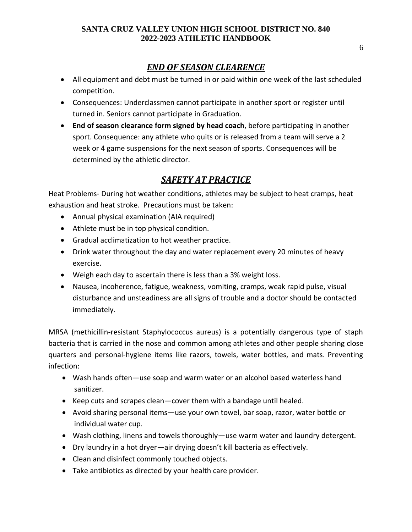#### *END OF SEASON CLEARENCE*

- All equipment and debt must be turned in or paid within one week of the last scheduled competition.
- Consequences: Underclassmen cannot participate in another sport or register until turned in. Seniors cannot participate in Graduation.
- **End of season clearance form signed by head coach**, before participating in another sport. Consequence: any athlete who quits or is released from a team will serve a 2 week or 4 game suspensions for the next season of sports. Consequences will be determined by the athletic director.

## *SAFETY AT PRACTICE*

Heat Problems- During hot weather conditions, athletes may be subject to heat cramps, heat exhaustion and heat stroke. Precautions must be taken:

- Annual physical examination (AIA required)
- Athlete must be in top physical condition.
- Gradual acclimatization to hot weather practice.
- Drink water throughout the day and water replacement every 20 minutes of heavy exercise.
- Weigh each day to ascertain there is less than a 3% weight loss.
- Nausea, incoherence, fatigue, weakness, vomiting, cramps, weak rapid pulse, visual disturbance and unsteadiness are all signs of trouble and a doctor should be contacted immediately.

MRSA (methicillin-resistant Staphylococcus aureus) is a potentially dangerous type of staph bacteria that is carried in the nose and common among athletes and other people sharing close quarters and personal-hygiene items like razors, towels, water bottles, and mats. Preventing infection:

- Wash hands often—use soap and warm water or an alcohol based waterless hand sanitizer.
- Keep cuts and scrapes clean—cover them with a bandage until healed.
- Avoid sharing personal items—use your own towel, bar soap, razor, water bottle or individual water cup.
- Wash clothing, linens and towels thoroughly—use warm water and laundry detergent.
- Dry laundry in a hot dryer—air drying doesn't kill bacteria as effectively.
- Clean and disinfect commonly touched objects.
- Take antibiotics as directed by your health care provider.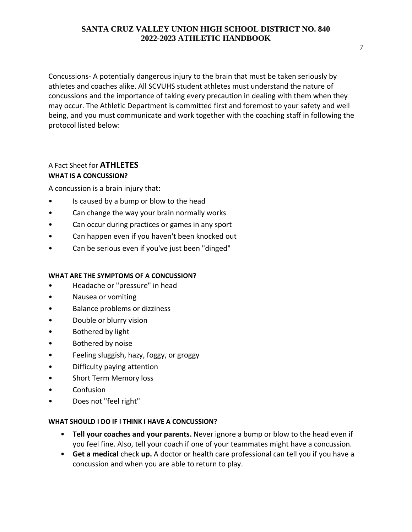Concussions- A potentially dangerous injury to the brain that must be taken seriously by athletes and coaches alike. All SCVUHS student athletes must understand the nature of concussions and the importance of taking every precaution in dealing with them when they may occur. The Athletic Department is committed first and foremost to your safety and well being, and you must communicate and work together with the coaching staff in following the protocol listed below:

#### A Fact Sheet for **ATHLETES WHAT IS A CONCUSSION?**

A concussion is a brain injury that:

- Is caused by a bump or blow to the head
- Can change the way your brain normally works
- Can occur during practices or games in any sport
- Can happen even if you haven't been knocked out
- Can be serious even if you've just been "dinged"

#### **WHAT ARE THE SYMPTOMS OF A CONCUSSION?**

- Headache or "pressure" in head
- Nausea or vomiting
- Balance problems or dizziness
- Double or blurry vision
- Bothered by light
- Bothered by noise
- Feeling sluggish, hazy, foggy, or groggy
- Difficulty paying attention
- Short Term Memory loss
- Confusion
- Does not "feel right"

#### **WHAT SHOULD I DO IF I THINK I HAVE A CONCUSSION?**

- **Tell your coaches and your parents.** Never ignore a bump or blow to the head even if you feel fine. Also, tell your coach if one of your teammates might have a concussion.
- **Get a medical** check **up.** A doctor or health care professional can tell you if you have a concussion and when you are able to return to play.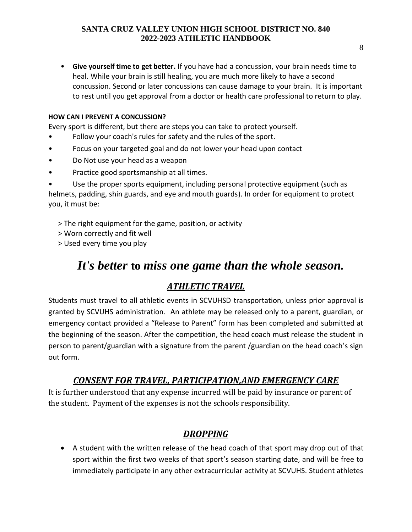• **Give yourself time to get better.** If you have had a concussion, your brain needs time to heal. While your brain is still healing, you are much more likely to have a second concussion. Second or later concussions can cause damage to your brain. It is important to rest until you get approval from a doctor or health care professional to return to play.

#### **HOW CAN I PREVENT A CONCUSSION?**

Every sport is different, but there are steps you can take to protect yourself.

- Follow your coach's rules for safety and the rules of the sport.
- Focus on your targeted goal and do not lower your head upon contact
- Do Not use your head as a weapon
- Practice good sportsmanship at all times.

Use the proper sports equipment, including personal protective equipment (such as helmets, padding, shin guards, and eye and mouth guards). In order for equipment to protect you, it must be:

- > The right equipment for the game, position, or activity
- > Worn correctly and fit well
- > Used every time you play

## *It's better* **to** *miss one game than the whole season.*

#### <span id="page-7-1"></span>*ATHLETIC TRAVEL*

<span id="page-7-0"></span>Students must travel to all athletic events in SCVUHSD transportation, unless prior approval is granted by SCVUHS administration. An athlete may be released only to a parent, guardian, or emergency contact provided a "Release to Parent" form has been completed and submitted at the beginning of the season. After the competition, the head coach must release the student in person to parent/guardian with a signature from the parent /guardian on the head coach's sign out form.

#### *CONSENT FOR TRAVEL, PARTICIPATION,AND EMERGENCY CARE*

It is further understood that any expense incurred will be paid by insurance or parent of the student. Payment of the expenses is not the schools responsibility.

#### *DROPPING*

• A student with the written release of the head coach of that sport may drop out of that sport within the first two weeks of that sport's season starting date, and will be free to immediately participate in any other extracurricular activity at SCVUHS. Student athletes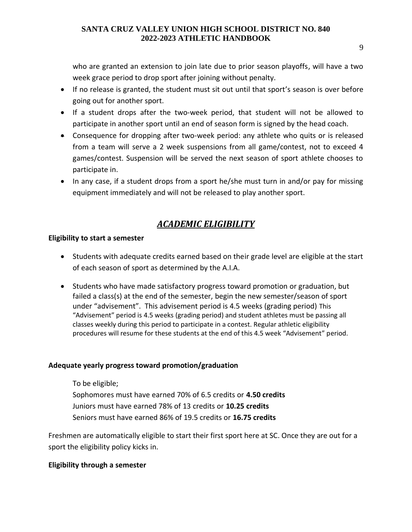9

who are granted an extension to join late due to prior season playoffs, will have a two week grace period to drop sport after joining without penalty.

- If no release is granted, the student must sit out until that sport's season is over before going out for another sport.
- If a student drops after the two-week period, that student will not be allowed to participate in another sport until an end of season form is signed by the head coach.
- Consequence for dropping after two-week period: any athlete who quits or is released from a team will serve a 2 week suspensions from all game/contest, not to exceed 4 games/contest. Suspension will be served the next season of sport athlete chooses to participate in.
- In any case, if a student drops from a sport he/she must turn in and/or pay for missing equipment immediately and will not be released to play another sport.

## *ACADEMIC ELIGIBILITY*

#### <span id="page-8-0"></span>**Eligibility to start a semester**

- Students with adequate credits earned based on their grade level are eligible at the start of each season of sport as determined by the A.I.A.
- Students who have made satisfactory progress toward promotion or graduation, but failed a class(s) at the end of the semester, begin the new semester/season of sport under "advisement". This advisement period is 4.5 weeks (grading period) This "Advisement" period is 4.5 weeks (grading period) and student athletes must be passing all classes weekly during this period to participate in a contest. Regular athletic eligibility procedures will resume for these students at the end of this 4.5 week "Advisement" period.

#### **Adequate yearly progress toward promotion/graduation**

To be eligible; Sophomores must have earned 70% of 6.5 credits or **4.50 credits** Juniors must have earned 78% of 13 credits or **10.25 credits** Seniors must have earned 86% of 19.5 credits or **16.75 credits**

Freshmen are automatically eligible to start their first sport here at SC. Once they are out for a sport the eligibility policy kicks in.

#### **Eligibility through a semester**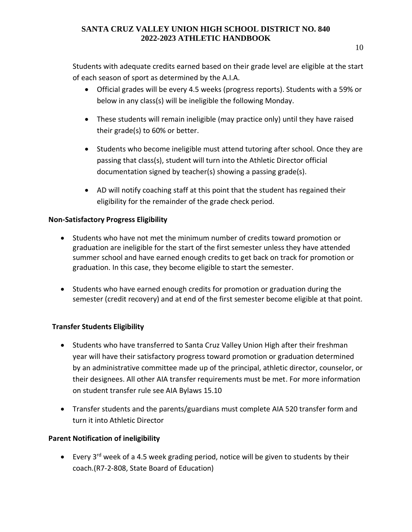Students with adequate credits earned based on their grade level are eligible at the start of each season of sport as determined by the A.I.A.

- Official grades will be every 4.5 weeks (progress reports). Students with a 59% or below in any class(s) will be ineligible the following Monday.
- These students will remain ineligible (may practice only) until they have raised their grade(s) to 60% or better.
- Students who become ineligible must attend tutoring after school. Once they are passing that class(s), student will turn into the Athletic Director official documentation signed by teacher(s) showing a passing grade(s).
- AD will notify coaching staff at this point that the student has regained their eligibility for the remainder of the grade check period.

#### **Non-Satisfactory Progress Eligibility**

- Students who have not met the minimum number of credits toward promotion or graduation are ineligible for the start of the first semester unless they have attended summer school and have earned enough credits to get back on track for promotion or graduation. In this case, they become eligible to start the semester.
- Students who have earned enough credits for promotion or graduation during the semester (credit recovery) and at end of the first semester become eligible at that point.

#### **Transfer Students Eligibility**

- Students who have transferred to Santa Cruz Valley Union High after their freshman year will have their satisfactory progress toward promotion or graduation determined by an administrative committee made up of the principal, athletic director, counselor, or their designees. All other AIA transfer requirements must be met. For more information on student transfer rule see AIA Bylaws 15.10
- Transfer students and the parents/guardians must complete AIA 520 transfer form and turn it into Athletic Director

#### **Parent Notification of ineligibility**

• Every  $3^{rd}$  week of a 4.5 week grading period, notice will be given to students by their coach.(R7-2-808, State Board of Education)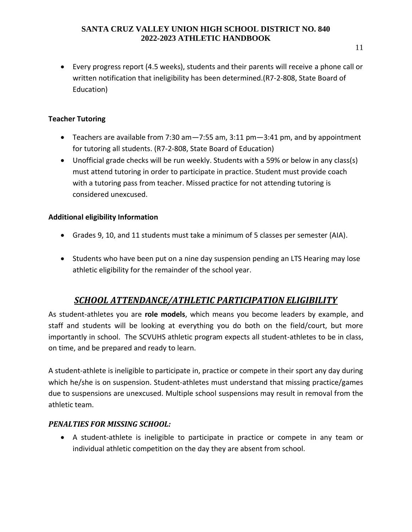• Every progress report (4.5 weeks), students and their parents will receive a phone call or written notification that ineligibility has been determined.(R7-2-808, State Board of Education)

#### **Teacher Tutoring**

- Teachers are available from 7:30 am—7:55 am, 3:11 pm—3:41 pm, and by appointment for tutoring all students. (R7-2-808, State Board of Education)
- Unofficial grade checks will be run weekly. Students with a 59% or below in any class(s) must attend tutoring in order to participate in practice. Student must provide coach with a tutoring pass from teacher. Missed practice for not attending tutoring is considered unexcused.

#### **Additional eligibility Information**

- Grades 9, 10, and 11 students must take a minimum of 5 classes per semester (AIA).
- Students who have been put on a nine day suspension pending an LTS Hearing may lose athletic eligibility for the remainder of the school year.

## *SCHOOL ATTENDANCE/ATHLETIC PARTICIPATION ELIGIBILITY*

As student-athletes you are **role models**, which means you become leaders by example, and staff and students will be looking at everything you do both on the field/court, but more importantly in school. The SCVUHS athletic program expects all student-athletes to be in class, on time, and be prepared and ready to learn.

A student-athlete is ineligible to participate in, practice or compete in their sport any day during which he/she is on suspension. Student-athletes must understand that missing practice/games due to suspensions are unexcused. Multiple school suspensions may result in removal from the athletic team.

#### *PENALTIES FOR MISSING SCHOOL:*

• A student-athlete is ineligible to participate in practice or compete in any team or individual athletic competition on the day they are absent from school.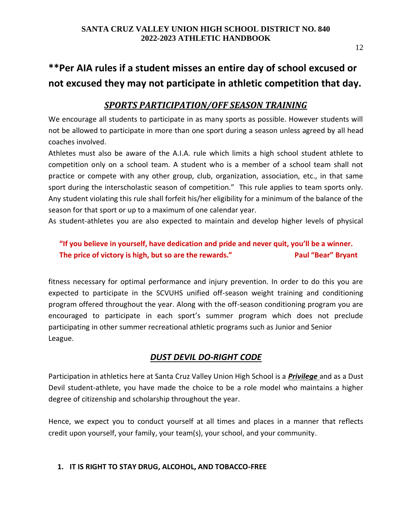## **\*\*Per AIA rules if a student misses an entire day of school excused or not excused they may not participate in athletic competition that day.**

#### <span id="page-11-0"></span>*SPORTS PARTICIPATION/OFF SEASON TRAINING*

We encourage all students to participate in as many sports as possible. However students will not be allowed to participate in more than one sport during a season unless agreed by all head coaches involved.

Athletes must also be aware of the A.I.A. rule which limits a high school student athlete to competition only on a school team. A student who is a member of a school team shall not practice or compete with any other group, club, organization, association, etc., in that same sport during the interscholastic season of competition." This rule applies to team sports only. Any student violating this rule shall forfeit his/her eligibility for a minimum of the balance of the season for that sport or up to a maximum of one calendar year.

As student-athletes you are also expected to maintain and develop higher levels of physical

#### **"If you believe in yourself, have dedication and pride and never quit, you'll be a winner. The price of victory is high, but so are the rewards."** Paul "Bear" Bryant

fitness necessary for optimal performance and injury prevention. In order to do this you are expected to participate in the SCVUHS unified off-season weight training and conditioning program offered throughout the year. Along with the off-season conditioning program you are encouraged to participate in each sport's summer program which does not preclude participating in other summer recreational athletic programs such as Junior and Senior League.

#### *DUST DEVIL DO-RIGHT CODE*

<span id="page-11-1"></span>Participation in athletics here at Santa Cruz Valley Union High School is a *Privilege* and as a Dust Devil student-athlete, you have made the choice to be a role model who maintains a higher degree of citizenship and scholarship throughout the year.

Hence, we expect you to conduct yourself at all times and places in a manner that reflects credit upon yourself, your family, your team(s), your school, and your community.

#### **1. IT IS RIGHT TO STAY DRUG, ALCOHOL, AND TOBACCO-FREE**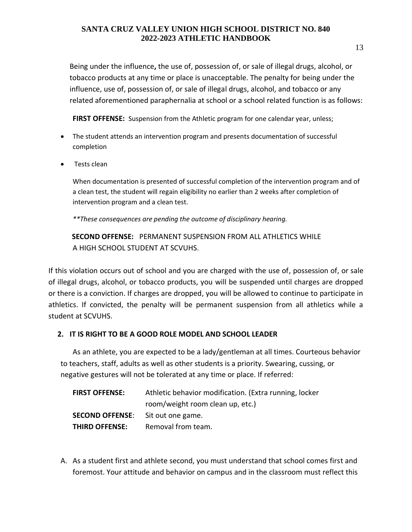Being under the influence**,** the use of, possession of, or sale of illegal drugs, alcohol, or tobacco products at any time or place is unacceptable. The penalty for being under the influence, use of, possession of, or sale of illegal drugs, alcohol, and tobacco or any related aforementioned paraphernalia at school or a school related function is as follows:

**FIRST OFFENSE:** Suspension from the Athletic program for one calendar year, unless;

- The student attends an intervention program and presents documentation of successful completion
- Tests clean

When documentation is presented of successful completion of the intervention program and of a clean test, the student will regain eligibility no earlier than 2 weeks after completion of intervention program and a clean test.

*\*\*These consequences are pending the outcome of disciplinary hearing.* 

 **SECOND OFFENSE:** PERMANENT SUSPENSION FROM ALL ATHLETICS WHILE A HIGH SCHOOL STUDENT AT SCVUHS.

If this violation occurs out of school and you are charged with the use of, possession of, or sale of illegal drugs, alcohol, or tobacco products, you will be suspended until charges are dropped or there is a conviction. If charges are dropped, you will be allowed to continue to participate in athletics. If convicted, the penalty will be permanent suspension from all athletics while a student at SCVUHS.

#### **2. IT IS RIGHT TO BE A GOOD ROLE MODEL AND SCHOOL LEADER**

As an athlete, you are expected to be a lady/gentleman at all times. Courteous behavior to teachers, staff, adults as well as other students is a priority. Swearing, cussing, or negative gestures will not be tolerated at any time or place. If referred:

| <b>FIRST OFFENSE:</b>                    | Athletic behavior modification. (Extra running, locker |
|------------------------------------------|--------------------------------------------------------|
|                                          | room/weight room clean up, etc.)                       |
| <b>SECOND OFFENSE:</b> Sit out one game. |                                                        |
| <b>THIRD OFFENSE:</b>                    | Removal from team.                                     |

A. As a student first and athlete second, you must understand that school comes first and foremost. Your attitude and behavior on campus and in the classroom must reflect this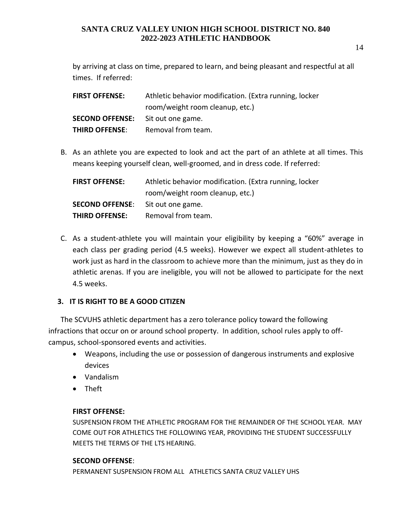by arriving at class on time, prepared to learn, and being pleasant and respectful at all times. If referred:

| <b>FIRST OFFENSE:</b>                    | Athletic behavior modification. (Extra running, locker |
|------------------------------------------|--------------------------------------------------------|
|                                          | room/weight room cleanup, etc.)                        |
| <b>SECOND OFFENSE:</b> Sit out one game. |                                                        |
| <b>THIRD OFFENSE:</b>                    | Removal from team.                                     |

B. As an athlete you are expected to look and act the part of an athlete at all times. This means keeping yourself clean, well-groomed, and in dress code. If referred:

| <b>FIRST OFFENSE:</b>  | Athletic behavior modification. (Extra running, locker |
|------------------------|--------------------------------------------------------|
|                        | room/weight room cleanup, etc.)                        |
| <b>SECOND OFFENSE:</b> | Sit out one game.                                      |
| <b>THIRD OFFENSE:</b>  | Removal from team.                                     |

C. As a student-athlete you will maintain your eligibility by keeping a "60%" average in each class per grading period (4.5 weeks). However we expect all student-athletes to work just as hard in the classroom to achieve more than the minimum, just as they do in athletic arenas. If you are ineligible, you will not be allowed to participate for the next 4.5 weeks.

#### **3. IT IS RIGHT TO BE A GOOD CITIZEN**

The SCVUHS athletic department has a zero tolerance policy toward the following infractions that occur on or around school property. In addition, school rules apply to offcampus, school-sponsored events and activities.

- Weapons, including the use or possession of dangerous instruments and explosive devices
- Vandalism
- Theft

#### **FIRST OFFENSE:**

SUSPENSION FROM THE ATHLETIC PROGRAM FOR THE REMAINDER OF THE SCHOOL YEAR. MAY COME OUT FOR ATHLETICS THE FOLLOWING YEAR, PROVIDING THE STUDENT SUCCESSFULLY MEETS THE TERMS OF THE LTS HEARING.

#### **SECOND OFFENSE**:

PERMANENT SUSPENSION FROM ALL ATHLETICS SANTA CRUZ VALLEY UHS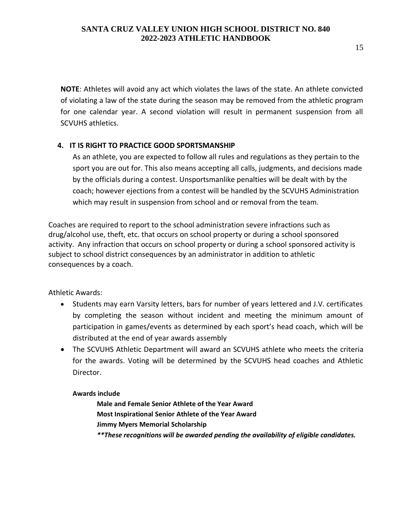**NOTE**: Athletes will avoid any act which violates the laws of the state. An athlete convicted of violating a law of the state during the season may be removed from the athletic program for one calendar year. A second violation will result in permanent suspension from all SCVUHS athletics.

#### **4. IT IS RIGHT TO PRACTICE GOOD SPORTSMANSHIP**

As an athlete, you are expected to follow all rules and regulations as they pertain to the sport you are out for. This also means accepting all calls, judgments, and decisions made by the officials during a contest. Unsportsmanlike penalties will be dealt with by the coach; however ejections from a contest will be handled by the SCVUHS Administration which may result in suspension from school and or removal from the team.

Coaches are required to report to the school administration severe infractions such as drug/alcohol use, theft, etc. that occurs on school property or during a school sponsored activity. Any infraction that occurs on school property or during a school sponsored activity is subject to school district consequences by an administrator in addition to athletic consequences by a coach.

Athletic Awards:

- Students may earn Varsity letters, bars for number of years lettered and J.V. certificates by completing the season without incident and meeting the minimum amount of participation in games/events as determined by each sport's head coach, which will be distributed at the end of year awards assembly
- The SCVUHS Athletic Department will award an SCVUHS athlete who meets the criteria for the awards. Voting will be determined by the SCVUHS head coaches and Athletic Director.

#### <span id="page-14-0"></span>**Awards include**

**Male and Female Senior Athlete of the Year Award Most Inspirational Senior Athlete of the Year Award Jimmy Myers Memorial Scholarship** *\*\*These recognitions will be awarded pending the availability of eligible candidates.*